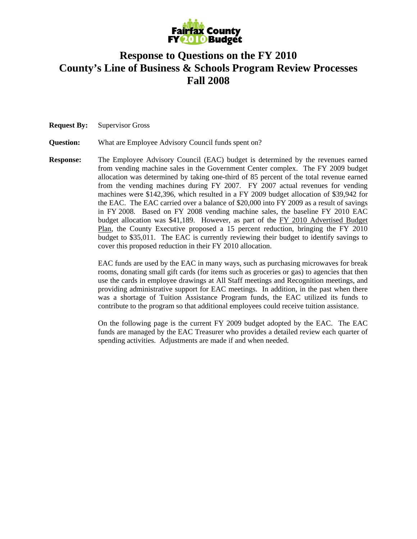

## **Response to Questions on the FY 2010 County's Line of Business & Schools Program Review Processes Fall 2008**

**Request By:** Supervisor Gross

**Question:** What are Employee Advisory Council funds spent on?

**Response:** The Employee Advisory Council (EAC) budget is determined by the revenues earned from vending machine sales in the Government Center complex. The FY 2009 budget allocation was determined by taking one-third of 85 percent of the total revenue earned from the vending machines during FY 2007. FY 2007 actual revenues for vending machines were \$142,396, which resulted in a FY 2009 budget allocation of \$39,942 for the EAC. The EAC carried over a balance of \$20,000 into FY 2009 as a result of savings in FY 2008. Based on FY 2008 vending machine sales, the baseline FY 2010 EAC budget allocation was \$41,189. However, as part of the FY 2010 Advertised Budget Plan, the County Executive proposed a 15 percent reduction, bringing the FY 2010 budget to \$35,011. The EAC is currently reviewing their budget to identify savings to cover this proposed reduction in their FY 2010 allocation.

> EAC funds are used by the EAC in many ways, such as purchasing microwaves for break rooms, donating small gift cards (for items such as groceries or gas) to agencies that then use the cards in employee drawings at All Staff meetings and Recognition meetings, and providing administrative support for EAC meetings. In addition, in the past when there was a shortage of Tuition Assistance Program funds, the EAC utilized its funds to contribute to the program so that additional employees could receive tuition assistance.

> On the following page is the current FY 2009 budget adopted by the EAC. The EAC funds are managed by the EAC Treasurer who provides a detailed review each quarter of spending activities. Adjustments are made if and when needed.